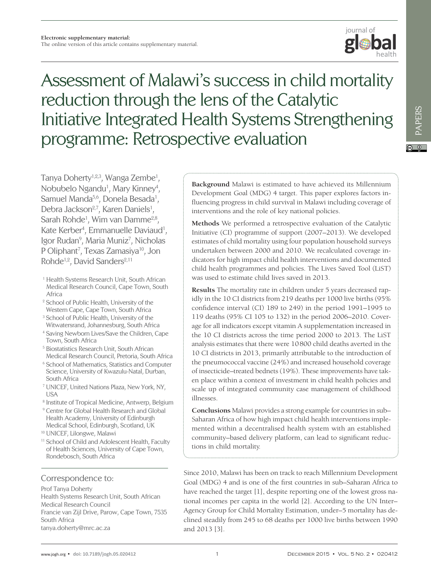

# Assessment of Malawi's success in child mortality reduction through the lens of the Catalytic Initiative Integrated Health Systems Strengthening programme: Retrospective evaluation

 $\boxed{6}$   $\boxed{0}$ 

Tanya Doherty<sup>1,2,3</sup>, Wanga Zembe<sup>1</sup>, Nobubelo Ngandu<sup>1</sup>, Mary Kinney<sup>4</sup>, Samuel Manda<sup>5,6</sup>, Donela Besada<sup>1</sup>, Debra Jackson<sup>2,7</sup>, Karen Daniels<sup>1</sup>, Sarah Rohde<sup>1</sup>, Wim van Damme<sup>2,8</sup>, Kate Kerber<sup>4</sup>, Emmanuelle Daviaud<sup>1</sup>, Igor Rudan<sup>9</sup>, Maria Muniz<sup>7</sup>, Nicholas P Oliphant<sup>7</sup>, Texas Zamasiya<sup>10</sup>, Jon Rohde<sup>1,2</sup>, David Sanders<sup>2,11</sup>

- <sup>1</sup> Health Systems Research Unit, South African Medical Research Council, Cape Town, South Africa
- <sup>2</sup> School of Public Health, University of the Western Cape, Cape Town, South Africa
- <sup>3</sup> School of Public Health, University of the Witwatersrand, Johannesburg, South Africa
- <sup>4</sup> Saving Newborn Lives/Save the Children, Cape Town, South Africa
- <sup>5</sup> Biostatistics Research Unit, South African Medical Research Council, Pretoria, South Africa
- <sup>6</sup> School of Mathematics, Statistics and Computer Science, University of Kwazulu-Natal, Durban, South Africa
- <sup>7</sup> UNICEF, United Nations Plaza, New York, NY, USA
- <sup>8</sup> Institute of Tropical Medicine, Antwerp, Belgium
- <sup>9</sup> Centre for Global Health Research and Global Health Academy, University of Edinburgh Medical School, Edinburgh, Scotland, UK
- <sup>10</sup> UNICEF, Lilongwe, Malawi
- <sup>11</sup> School of Child and Adolescent Health, Faculty of Health Sciences, University of Cape Town, Rondebosch, South Africa

# Correspondence to:

Prof Tanya Doherty Health Systems Research Unit, South African Medical Research Council Francie van Zijl Drive, Parow, Cape Town, 7535 South Africa tanya.doherty@mrc.ac.za

**Background** Malawi is estimated to have achieved its Millennium Development Goal (MDG) 4 target. This paper explores factors influencing progress in child survival in Malawi including coverage of interventions and the role of key national policies.

**Methods** We performed a retrospective evaluation of the Catalytic Initiative (CI) programme of support (2007–2013). We developed estimates of child mortality using four population household surveys undertaken between 2000 and 2010. We recalculated coverage indicators for high impact child health interventions and documented child health programmes and policies. The Lives Saved Tool (LiST) was used to estimate child lives saved in 2013.

**Results** The mortality rate in children under 5 years decreased rapidly in the 10 CI districts from 219 deaths per 1000 live births (95% confidence interval (CI) 189 to 249) in the period 1991–1995 to 119 deaths (95% CI 105 to 132) in the period 2006–2010. Coverage for all indicators except vitamin A supplementation increased in the 10 CI districts across the time period 2000 to 2013. The LiST analysis estimates that there were 10 800 child deaths averted in the 10 CI districts in 2013, primarily attributable to the introduction of the pneumococcal vaccine (24%) and increased household coverage of insecticide–treated bednets (19%). These improvements have taken place within a context of investment in child health policies and scale up of integrated community case management of childhood illnesses.

**Conclusions** Malawi provides a strong example for countries in sub– Saharan Africa of how high impact child health interventions implemented within a decentralised health system with an established community–based delivery platform, can lead to significant reductions in child mortality.

Since 2010, Malawi has been on track to reach Millennium Development Goal (MDG) 4 and is one of the first countries in sub–Saharan Africa to have reached the target [1], despite reporting one of the lowest gross national incomes per capita in the world [2]. According to the UN Inter– Agency Group for Child Mortality Estimation, under–5 mortality has declined steadily from 245 to 68 deaths per 1000 live births between 1990 and 2013 [3].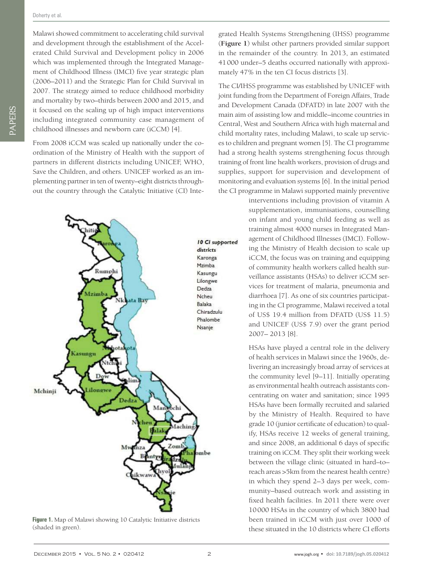Malawi showed commitment to accelerating child survival and development through the establishment of the Accelerated Child Survival and Development policy in 2006 which was implemented through the Integrated Management of Childhood Illness (IMCI) five year strategic plan (2006–2011) and the Strategic Plan for Child Survival in 2007. The strategy aimed to reduce childhood morbidity and mortality by two–thirds between 2000 and 2015, and it focused on the scaling up of high impact interventions including integrated community case management of childhood illnesses and newborn care (iCCM) [4].

From 2008 iCCM was scaled up nationally under the coordination of the Ministry of Health with the support of partners in different districts including UNICEF, WHO, Save the Children, and others. UNICEF worked as an implementing partner in ten of twenty–eight districts throughout the country through the Catalytic Initiative (CI) Inte-



**Figure 1.** Map of Malawi showing 10 Catalytic Initiative districts (shaded in green).

grated Health Systems Strengthening (IHSS) programme (**Figure 1**) whilst other partners provided similar support in the remainder of the country. In 2013, an estimated 41 000 under–5 deaths occurred nationally with approximately 47% in the ten CI focus districts [3].

The CI/IHSS programme was established by UNICEF with joint funding from the Department of Foreign Affairs, Trade and Development Canada (DFATD) in late 2007 with the main aim of assisting low and middle–income countries in Central, West and Southern Africa with high maternal and child mortality rates, including Malawi, to scale up services to children and pregnant women [5]. The CI programme had a strong health systems strengthening focus through training of front line health workers, provision of drugs and supplies, support for supervision and development of monitoring and evaluation systems [6]. In the initial period the CI programme in Malawi supported mainly preventive

> interventions including provision of vitamin A supplementation, immunisations, counselling on infant and young child feeding as well as training almost 4000 nurses in Integrated Management of Childhood Illnesses (IMCI). Following the Ministry of Health decision to scale up iCCM, the focus was on training and equipping of community health workers called health surveillance assistants (HSAs) to deliver iCCM services for treatment of malaria, pneumonia and diarrhoea [7]. As one of six countries participating in the CI programme, Malawi received a total of US\$ 19.4 million from DFATD (US\$ 11.5) and UNICEF (US\$ 7.9) over the grant period 2007– 2013 [8].

> HSAs have played a central role in the delivery of health services in Malawi since the 1960s, delivering an increasingly broad array of services at the community level [9–11]. Initially operating as environmental health outreach assistants concentrating on water and sanitation; since 1995 HSAs have been formally recruited and salaried by the Ministry of Health. Required to have grade 10 (junior certificate of education) to qualify, HSAs receive 12 weeks of general training, and since 2008, an additional 6 days of specific training on iCCM. They split their working week between the village clinic (situated in hard–to– reach areas >5km from the nearest health centre) in which they spend 2–3 days per week, community–based outreach work and assisting in fixed health facilities. In 2011 there were over 10 000 HSAs in the country of which 3800 had been trained in iCCM with just over 1000 of these situated in the 10 districts where CI efforts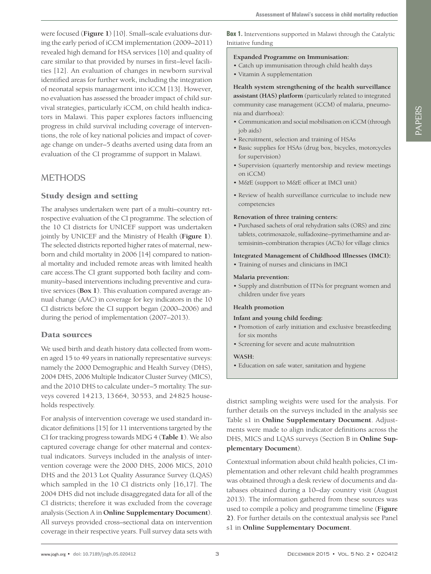were focused (**Figure 1**) [10]. Small–scale evaluations during the early period of iCCM implementation (2009–2011) revealed high demand for HSA services [10] and quality of care similar to that provided by nurses in first–level facilities [12]. An evaluation of changes in newborn survival identified areas for further work, including the integration of neonatal sepsis management into iCCM [13]. However, no evaluation has assessed the broader impact of child survival strategies, particularly iCCM, on child health indicators in Malawi. This paper explores factors influencing progress in child survival including coverage of interventions, the role of key national policies and impact of coverage change on under–5 deaths averted using data from an evaluation of the CI programme of support in Malawi.

# METHODS

## Study design and setting

The analyses undertaken were part of a multi–country retrospective evaluation of the CI programme. The selection of the 10 CI districts for UNICEF support was undertaken jointly by UNICEF and the Ministry of Health (**Figure 1**). The selected districts reported higher rates of maternal, newborn and child mortality in 2006 [14] compared to national mortality and included remote areas with limited health care access.The CI grant supported both facility and community–based interventions including preventive and curative services (**Box 1**). This evaluation compared average annual change (AAC) in coverage for key indicators in the 10 CI districts before the CI support began (2000–2006) and during the period of implementation (2007–2013).

#### Data sources

We used birth and death history data collected from women aged 15 to 49 years in nationally representative surveys: namely the 2000 Demographic and Health Survey (DHS), 2004 DHS, 2006 Multiple Indicator Cluster Survey (MICS), and the 2010 DHS to calculate under–5 mortality. The surveys covered 14 213, 13 664, 30 553, and 24 825 households respectively.

For analysis of intervention coverage we used standard indicator definitions [15] for 11 interventions targeted by the CI for tracking progress towards MDG 4 (**Table 1**). We also captured coverage change for other maternal and contextual indicators. Surveys included in the analysis of intervention coverage were the 2000 DHS, 2006 MICS, 2010 DHS and the 2013 Lot Quality Assurance Survey (LQAS) which sampled in the 10 CI districts only [16,17]. The 2004 DHS did not include disaggregated data for all of the CI districts; therefore it was excluded from the coverage analysis (Section A in **Online Supplementary Document**). All surveys provided cross–sectional data on intervention coverage in their respective years. Full survey data sets with **Box 1.** Interventions supported in Malawi through the Catalytic Initiative funding

#### **Expanded Programme on Immunisation:**

- Catch up immunisation through child health days
- Vitamin A supplementation

**Health system strengthening of the health surveillance assistant (HAS) platform** (particularly related to integrated community case management (iCCM) of malaria, pneumonia and diarrhoea):

- Communication and social mobilisation on iCCM (through job aids)
- Recruitment, selection and training of HSAs
- Basic supplies for HSAs (drug box, bicycles, motorcycles for supervision)
- Supervision (quarterly mentorship and review meetings on iCCM)
- M&E (support to M&E officer at IMCI unit)
- Review of health surveillance curriculae to include new competencies

#### **Renovation of three training centers:**

• Purchased sachets of oral rehydration salts (ORS) and zinc tablets, cotrimoxazole, sulfadoxine–pyrimethamine and artemisinin–combination therapies (ACTs) for village clinics

#### **Integrated Management of Childhood Illnesses (IMCI):**

• Training of nurses and clinicians in IMCI

#### **Malaria prevention:**

• Supply and distribution of ITNs for pregnant women and children under five years

#### **Health promotion**

#### **Infant and young child feeding:**

- Promotion of early initiation and exclusive breastfeeding for six months
- Screening for severe and acute malnutrition

#### **WASH:**

• Education on safe water, sanitation and hygiene

district sampling weights were used for the analysis. For further details on the surveys included in the analysis see Table s1 in **Online Supplementary Document**. Adjustments were made to align indicator definitions across the DHS, MICS and LQAS surveys (Section B in **Online Supplementary Document**).

Contextual information about child health policies, CI implementation and other relevant child health programmes was obtained through a desk review of documents and databases obtained during a 10–day country visit (August 2013). The information gathered from these sources was used to compile a policy and programme timeline (**Figure 2)**. For further details on the contextual analysis see Panel s1 in **Online Supplementary Document**.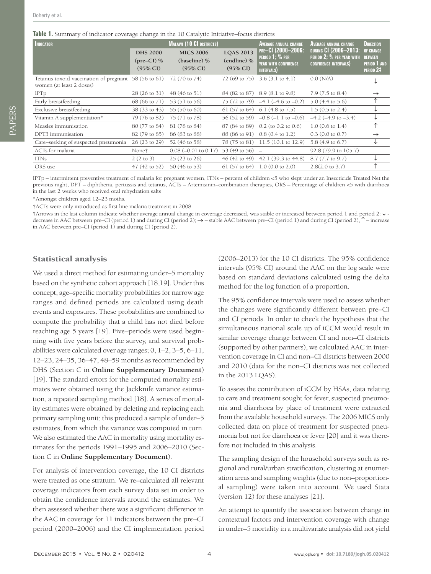#### **Table 1.** Summary of indicator coverage change in the 10 Catalytic Initiative–focus districts

| INDICATOR                                                          | <b>DHS 2000</b><br>$(\text{pre}-\text{CI})\%$<br>$(95\% \text{ CI})$ | <b>MALAWI (10 CI DISTRICTS)</b><br><b>MICS 2006</b><br>$\frac{1}{6}$ (baseline) %<br>$(95\% \text{ CI})$ | <b>LOAS 2013</b><br>(endline) %<br>$(95\% \text{ CI})$ | <b>AVERAGE ANNUAL CHANGE</b><br>PRE-CI (2000-2006:<br>PERIOD <b>1;</b> % PER<br><b>YEAR WITH CONFIDENCE</b><br><b>INTERVALS</b> | <b>AVERAGE ANNUAL CHANGE</b><br>DURING CI (2006-2013:<br>PERIOD 2; % PER YEAR WITH<br><b>CONFIDENCE INTERVALS)</b> | <b>DIRECTION</b><br>OF CHANGE<br><b>BETWEEN</b><br>PERIOD 1 AND<br>PERIOD <sub>2</sub> # |
|--------------------------------------------------------------------|----------------------------------------------------------------------|----------------------------------------------------------------------------------------------------------|--------------------------------------------------------|---------------------------------------------------------------------------------------------------------------------------------|--------------------------------------------------------------------------------------------------------------------|------------------------------------------------------------------------------------------|
| Tetanus toxoid vaccination of pregnant<br>women (at least 2 doses) | 58 (56 to 61)                                                        | 72 (70 to 74)                                                                                            | 72 (69 to 75)                                          | $3.6(3.1 \text{ to } 4.1)$                                                                                                      | $0.0$ (N/A)                                                                                                        |                                                                                          |
| <b>IPTp</b>                                                        | 28 (26 to 31)                                                        | 48 (46 to 51)                                                                                            | 84 (82 to 87)                                          | $8.9(8.1 \text{ to } 9.8)$                                                                                                      | $7.9(7.5 \text{ to } 8.4)$                                                                                         | $\rightarrow$                                                                            |
| Early breastfeeding                                                | 68 (66 to 71)                                                        | 53 (51 to 56)                                                                                            |                                                        | 75 (72 to 79) $-4.1$ ( $-4.6$ to $-0.2$ )                                                                                       | $5.0$ (4.4 to $5.6$ )                                                                                              |                                                                                          |
| Exclusive breastfeeding                                            | 38 (33 to 43)                                                        | 55 (50 to 60)                                                                                            |                                                        | $61(57 \text{ to } 64)$ $6.1(4.8 \text{ to } 7.5)$                                                                              | $1.5(0.5 \text{ to } 2.4)$                                                                                         |                                                                                          |
| Vitamin A supplementation*                                         | 79 (76 to 82)                                                        | 75 (71 to 78)                                                                                            | 56 (52 to 59)                                          | $-0.8$ ( $-1.1$ to $-0.6$ )                                                                                                     | $-4.2$ ( $-4.9$ to $-3.4$ )                                                                                        | ↓                                                                                        |
| Measles immunisation                                               | 80 (77 to 84)                                                        | 81 (78 to 84)                                                                                            |                                                        | 87 (84 to 89) 0.2 (to 0.2 to 0.6)                                                                                               | $1.0$ (0.6 to 1.4)                                                                                                 | ↑                                                                                        |
| DPT3 immunisation                                                  | 82 (79 to 85)                                                        | 86 (83 to 88)                                                                                            |                                                        | 88 (86 to 91) 0.8 (0.4 to 1.2)                                                                                                  | $0.3$ (0.0 to 0.7)                                                                                                 | $\rightarrow$                                                                            |
| Care-seeking of suspected pneumonia                                | 26 (23 to 29)                                                        | 52 (46 to 58)                                                                                            |                                                        | 78 (75 to 81) 11.5 (10.1 to 12.9)                                                                                               | 5.8 (4.9 to 6.7)                                                                                                   |                                                                                          |
| ACTs for malaria                                                   | None†                                                                | $0.08 (-0.01 to 0.17)$                                                                                   | 53 (49 to 56) $-$                                      |                                                                                                                                 | 92.8 (79.9 to 105.7)                                                                                               |                                                                                          |
| <b>ITNs</b>                                                        | 2(2 to 3)                                                            | 25(23 to 26)                                                                                             | 46 (42 to 49)                                          | 42.1 (39.3 to 44.8)                                                                                                             | 8.7 (7.7 to 9.7)                                                                                                   |                                                                                          |
| ORS use                                                            | 47 (42 to 52)                                                        | 50 (46 to 53)                                                                                            | $61(57 \text{ to } 64)$                                | $1.0$ (0.0 to 2.0)                                                                                                              | $2.8(2.0 \text{ to } 3.7)$                                                                                         |                                                                                          |

IPTp – intermittent preventive treatment of malaria for pregnant women, ITNs – percent of children <5 who slept under an Insecticide Treated Net the previous night, DPT – diphtheria, pertussis and tetanus, ACTs – Artemisinin–combination therapies, ORS – Percentage of children <5 with diarrhoea in the last 2 weeks who received oral rehydration salts

\*Amongst children aged 12–23 moths.

†ACTs were only introduced as first line malaria treatment in 2008.

‡Arrows in the last column indicate whether average annual change in coverage decreased, was stable or increased between period 1 and period 2: ↓ decrease in AAC between pre–CI (period 1) and during CI (period 2); → – stable AAC between pre–CI (period 1) and during CI (period 2), ↑ – increase in AAC between pre–CI (period 1) and during CI (period 2).

## Statistical analysis

We used a direct method for estimating under–5 mortality based on the synthetic cohort approach [18,19]. Under this concept, age–specific mortality probabilities for narrow age ranges and defined periods are calculated using death events and exposures. These probabilities are combined to compute the probability that a child has not died before reaching age 5 years [19]. Five–periods were used beginning with five years before the survey, and survival probabilities were calculated over age ranges; 0, 1–2, 3–5, 6–11, 12–23, 24–35, 36–47, 48–59 months as recommended by DHS (Section C in **Online Supplementary Document**) [19]. The standard errors for the computed mortality estimates were obtained using the Jackknife variance estimation, a repeated sampling method [18]. A series of mortality estimates were obtained by deleting and replacing each primary sampling unit; this produced a sample of under–5 estimates, from which the variance was computed in turn. We also estimated the AAC in mortality using mortality estimates for the periods 1991–1995 and 2006–2010 (Section C in **Online Supplementary Document**).

For analysis of intervention coverage, the 10 CI districts were treated as one stratum. We re–calculated all relevant coverage indicators from each survey data set in order to obtain the confidence intervals around the estimates. We then assessed whether there was a significant difference in the AAC in coverage for 11 indicators between the pre–CI period (2000–2006) and the CI implementation period

(2006–2013) for the 10 CI districts. The 95% confidence intervals (95% CI) around the AAC on the log scale were based on standard deviations calculated using the delta method for the log function of a proportion.

The 95% confidence intervals were used to assess whether the changes were significantly different between pre–CI and CI periods. In order to check the hypothesis that the simultaneous national scale up of iCCM would result in similar coverage change between CI and non–CI districts (supported by other partners), we calculated AAC in intervention coverage in CI and non–CI districts between 2000 and 2010 (data for the non–CI districts was not collected in the 2013 LQAS).

To assess the contribution of iCCM by HSAs, data relating to care and treatment sought for fever, suspected pneumonia and diarrhoea by place of treatment were extracted from the available household surveys. The 2006 MICS only collected data on place of treatment for suspected pneumonia but not for diarrhoea or fever [20] and it was therefore not included in this analysis.

The sampling design of the household surveys such as regional and rural/urban stratification, clustering at enumeration areas and sampling weights (due to non–proportional sampling) were taken into account. We used Stata (version 12) for these analyses [21].

An attempt to quantify the association between change in contextual factors and intervention coverage with change in under–5 mortality in a multivariate analysis did not yield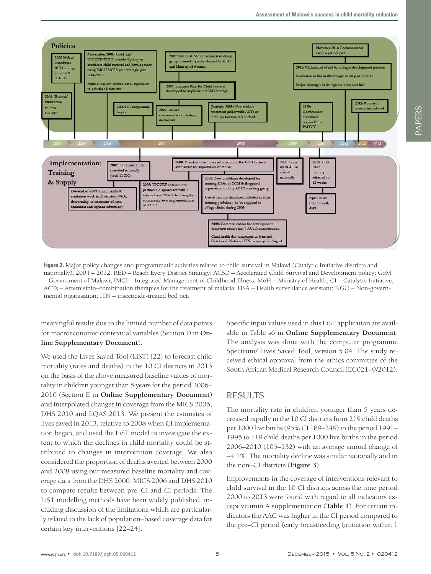

**Figure 2.** Major policy changes and programmatic activities related to child survival in Malawi (Catalytic Initiative districts and nationally), 2004 – 2012. RED – Reach Every District Strategy; ACSD – Accelerated Child Survival and Development policy; GoM – Government of Malawi; IMCI – Integrated Management of Childhood Illness; MoH – Ministry of Health; CI – Catalytic Initiative; ACTs – Artemisinin–combination therapies for the treatment of malaria; HSA – Health surveillance assistant; NGO – Non-governmental organisation; ITN – insecticide-treated bed net.

meaningful results due to the limited number of data points for macroeconomic contextual variables (Section D in **Online Supplementary Document**).

We used the Lives Saved Tool (LiST) [22] to forecast child mortality (rates and deaths) in the 10 CI districts in 2013 on the basis of the above measured baseline values of mortality in children younger than 5 years for the period 2006– 2010 (Section E in **Online Supplementary Document**) and interpolated changes in coverage from the MICS 2006, DHS 2010 and LQAS 2013. We present the estimates of lives saved in 2013, relative to 2008 when CI implementation began, and used the LiST model to investigate the extent to which the declines in child mortality could be attributed to changes in intervention coverage. We also considered the proportion of deaths averted between 2000 and 2008 using our measured baseline mortality and coverage data from the DHS 2000, MICS 2006 and DHS 2010 to compare results between pre–CI and CI periods. The LiST modelling methods have been widely published, including discussion of the limitations which are particularly related to the lack of population–based coverage data for certain key interventions [22–24].

Specific input values used in this LiST application are available in Table s6 in **Online Supplementary Document**. The analysis was done with the computer programme Spectrum/ Lives Saved Tool, version 5.04. The study received ethical approval from the ethics committee of the South African Medical Research Council (EC021–9/2012).

# RESULTS

The mortality rate in children younger than 5 years decreased rapidly in the 10 CI districts from 219 child deaths per 1000 live births (95% CI 189–249) in the period 1991– 1995 to 119 child deaths per 1000 live births in the period 2006–2010 (105–132) with an average annual change of –4.1%. The mortality decline was similar nationally and in the non–CI districts (**Figure 3**).

Improvements in the coverage of interventions relevant to child survival in the 10 CI districts across the time period 2000 to 2013 were found with regard to all indicators except vitamin A supplementation (**Table 1**). For certain indicators the AAC was higher in the CI period compared to the pre–CI period (early breastfeeding (initiation within 1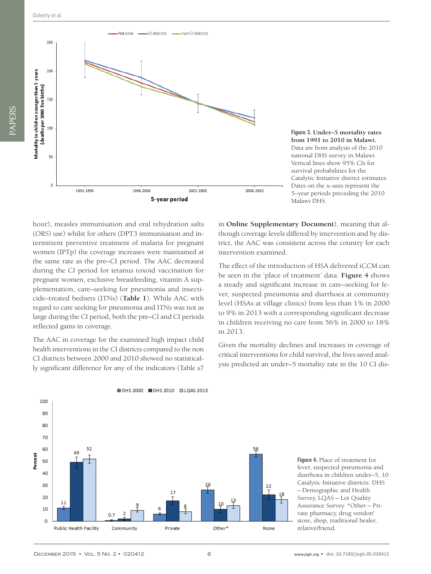

**Figure 3. Under–5 mortality rates from 1991 to 2010 in Malawi.** Data are from analysis of the 2010 national DHS survey in Malawi. Vertical lines show 95% CIs for survival probabilities for the Catalytic Initiative district estimates. Dates on the x–axis represent the 5–year periods preceding the 2010 Malawi DHS.

hour), measles immunisation and oral rehydration salts (ORS) use) whilst for others (DPT3 immunisation and intermittent preventive treatment of malaria for pregnant women (IPTp) the coverage increases were maintained at the same rate as the pre–CI period. The AAC decreased during the CI period for tetanus toxoid vaccination for pregnant women, exclusive breastfeeding, vitamin A supplementation, care–seeking for pneumonia and insecticide–treated bednets (ITNs) (**Table 1**). While AAC with regard to care seeking for pneumonia and ITNs was not as large during the CI period, both the pre–CI and CI periods reflected gains in coverage.

The AAC in coverage for the examined high impact child health interventions in the CI districts compared to the non CI districts between 2000 and 2010 showed no statistically significant difference for any of the indicators (Table s7

in **Online Supplementary Document**), meaning that although coverage levels differed by intervention and by district, the AAC was consistent across the country for each intervention examined.

The effect of the introduction of HSA delivered iCCM can be seen in the 'place of treatment' data. **Figure 4** shows a steady and significant increase in care–seeking for fever, suspected pneumonia and diarrhoea at community level (HSAs at village clinics) from less than 1% in 2000 to 9% in 2013 with a corresponding significant decrease in children receiving no care from 56% in 2000 to 18% in 2013.

Given the mortality declines and increases in coverage of critical interventions for child survival, the lives saved analysis predicted an under–5 mortality rate in the 10 CI dis-



**■ DHS 2000 ■ DHS 2010 ■ LQAS 2013** 

**Figure 4.** Place of treatment for fever, suspected pneumonia and diarrhoea in children under–5, 10 Catalytic Initiative districts. DHS – Demographic and Health Survey, LQAS – Lot Quality Assurance Survey. \*Other – Private pharmacy, drug vendor/ store, shop, traditional healer, relative/friend.

**APERS**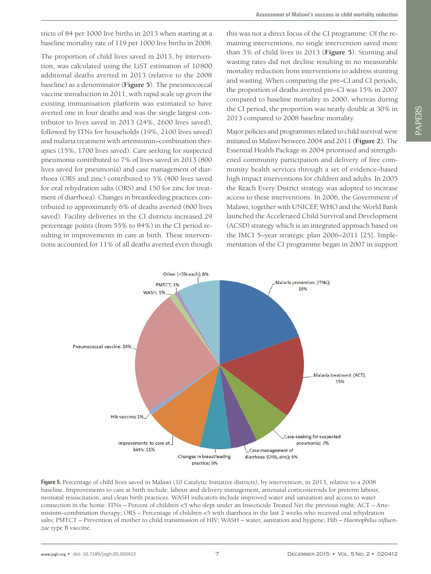tricts of 84 per 1000 live births in 2013 when starting at a baseline mortality rate of 119 per 1000 live births in 2008.

The proportion of child lives saved in 2013, by intervention, was calculated using the LiST estimation of 10 800 additional deaths averted in 2013 (relative to the 2008 baseline) as a denominator (**Figure 5**). The pneumococcal vaccine introduction in 2011, with rapid scale up given the existing immunisation platform was estimated to have averted one in four deaths and was the single largest contributor to lives saved in 2013 (24%, 2600 lives saved), followed by ITNs for households (19%, 2100 lives saved) and malaria treatment with artemisinin–combination therapies (15%, 1700 lives saved). Care seeking for suspected pneumonia contributed to 7% of lives saved in 2013 (800 lives saved for pneumonia) and case management of diarrhoea (ORS and zinc) contributed to 5% (400 lives saved for oral rehydration salts (ORS) and 150 for zinc for treatment of diarrhoea). Changes in breastfeeding practices contributed to approximately 6% of deaths averted (600 lives saved). Facility deliveries in the CI districts increased 29 percentage points (from 55% to 84%) in the CI period resulting in improvements in care at birth. These interventions accounted for 11% of all deaths averted even though this was not a direct focus of the CI programme. Of the remaining interventions, no single intervention saved more than 3% of child lives in 2013 (**Figure 5**). Stunting and wasting rates did not decline resulting in no measurable mortality reduction from interventions to address stunting and wasting. When comparing the pre–CI and CI periods, the proportion of deaths averted pre–CI was 15% in 2007 compared to baseline mortality in 2000, whereas during the CI period, the proportion was nearly double at 30% in 2013 compared to 2008 baseline mortality.

Major policies and programmes related to child survival were initiated in Malawi between 2004 and 2011 (**Figure 2**). The Essential Health Package in 2004 prioritised and strengthened community participation and delivery of free community health services through a set of evidence–based high impact interventions for children and adults. In 2005 the Reach Every District strategy was adopted to increase access to these interventions. In 2006, the Government of Malawi, together with UNICEF, WHO and the World Bank launched the Accelerated Child Survival and Development (ACSD) strategy which is an integrated approach based on the IMCI 5–year strategic plan 2006–2011 [25]. Implementation of the CI programme began in 2007 in support



**Figure 5.** Percentage of child lives saved in Malawi (10 Catalytic Initiative districts), by intervention, in 2013, relative to a 2008 baseline. Improvements to care at birth include: labour and delivery management, antenatal corticosteroids for preterm labour, neonatal resuscitation, and clean birth practices. WASH indicators include improved water and sanitation and access to water connection in the home. ITNs – Percent of children <5 who slept under an Insecticide Treated Net the previous night; ACT – Artemisinin–combination therapy; ORS – Percentage of children <5 with diarrhoea in the last 2 weeks who received oral rehydration salts; PMTCT – Prevention of mother to child transmission of HIV; WASH – water, sanitation and hygiene; Hib – *Haemophilus influenzae* type B vaccine.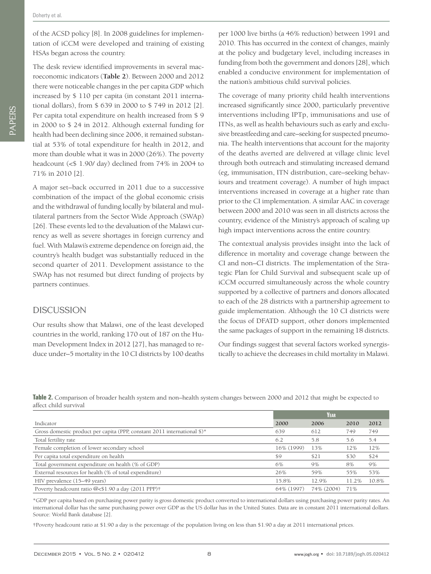of the ACSD policy [8]. In 2008 guidelines for implementation of iCCM were developed and training of existing HSAs began across the country.

The desk review identified improvements in several macroeconomic indicators (**Table 2**). Between 2000 and 2012 there were noticeable changes in the per capita GDP which increased by \$ 110 per capita (in constant 2011 international dollars), from \$ 639 in 2000 to \$ 749 in 2012 [2]. Per capita total expenditure on health increased from \$ 9 in 2000 to \$ 24 in 2012. Although external funding for health had been declining since 2006, it remained substantial at 53% of total expenditure for health in 2012, and more than double what it was in 2000 (26%). The poverty headcount (<\$ 1.90/ day) declined from 74% in 2004 to 71% in 2010 [2].

A major set–back occurred in 2011 due to a successive combination of the impact of the global economic crisis and the withdrawal of funding locally by bilateral and multilateral partners from the Sector Wide Approach (SWAp) [26]. These events led to the devaluation of the Malawi currency as well as severe shortages in foreign currency and fuel. With Malawi's extreme dependence on foreign aid, the country's health budget was substantially reduced in the second quarter of 2011. Development assistance to the SWAp has not resumed but direct funding of projects by partners continues.

## **DISCUSSION**

Our results show that Malawi, one of the least developed countries in the world, ranking 170 out of 187 on the Human Development Index in 2012 [27], has managed to reduce under–5 mortality in the 10 CI districts by 100 deaths per 1000 live births (a 46% reduction) between 1991 and 2010. This has occurred in the context of changes, mainly at the policy and budgetary level, including increases in funding from both the government and donors [28], which enabled a conducive environment for implementation of the nation's ambitious child survival policies.

The coverage of many priority child health interventions increased significantly since 2000, particularly preventive interventions including IPTp, immunisations and use of ITNs, as well as health behaviours such as early and exclusive breastfeeding and care–seeking for suspected pneumonia. The health interventions that account for the majority of the deaths averted are delivered at village clinic level through both outreach and stimulating increased demand (eg, immunisation, ITN distribution, care–seeking behaviours and treatment coverage). A number of high impact interventions increased in coverage at a higher rate than prior to the CI implementation. A similar AAC in coverage between 2000 and 2010 was seen in all districts across the country, evidence of the Ministry's approach of scaling up high impact interventions across the entire country.

The contextual analysis provides insight into the lack of difference in mortality and coverage change between the CI and non–CI districts. The implementation of the Strategic Plan for Child Survival and subsequent scale up of iCCM occurred simultaneously across the whole country supported by a collective of partners and donors allocated to each of the 28 districts with a partnership agreement to guide implementation. Although the 10 CI districts were the focus of DFATD support, other donors implemented the same packages of support in the remaining 18 districts.

Our findings suggest that several factors worked synergistically to achieve the decreases in child mortality in Malawi.

**Table 2.** Comparison of broader health system and non–health system changes between 2000 and 2012 that might be expected to affect child survival

|                                                                          | YEAR       |            |       |       |
|--------------------------------------------------------------------------|------------|------------|-------|-------|
| Indicator                                                                | 2000       | 2006       | 2010  | 2012  |
| Gross domestic product per capita (PPP, constant 2011 international \$)* | 639        | 612        | 749   | 749   |
| Total fertility rate                                                     | 6.2        | 5.8        | 5.6   | 5.4   |
| Female completion of lower secondary school                              | 16% (1999) | 13%        | 12%   | 12%   |
| Per capita total expenditure on health                                   | \$9        | \$21       | \$30  | \$24  |
| Total government expenditure on health (% of GDP)                        | 6%         | 9%         | 8%    | 9%    |
| External resources for health (% of total expenditure)                   | 26%        | 59%        | 55%   | 53%   |
| HIV prevalence (15–49 years)                                             | 15.8%      | 12.9%      | 11.2% | 10.8% |
| Poverty headcount ratio @<\$1.90 a day (2011 PPP)†                       | 64% (1997) | 74% (2004) | 71%   |       |

\*GDP per capita based on purchasing power parity is gross domestic product converted to international dollars using purchasing power parity rates. An international dollar has the same purchasing power over GDP as the US dollar has in the United States. Data are in constant 2011 international dollars. Source: World Bank database [2].

†Poverty headcount ratio at \$1.90 a day is the percentage of the population living on less than \$1.90 a day at 2011 international prices.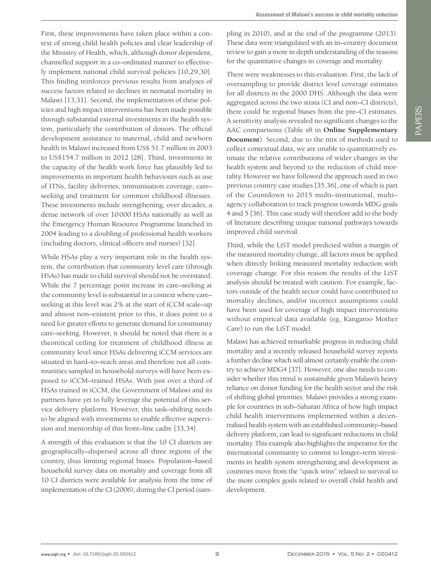First, these improvements have taken place within a context of strong child health policies and clear leadership of the Ministry of Health, which, although donor dependent, channelled support in a co–ordinated manner to effectively implement national child survival policies [10,29,30]. This finding reinforces previous results from analyses of success factors related to declines in neonatal mortality in Malawi [13,31]. Second, the implementation of these policies and high impact interventions has been made possible through substantial external investments in the health system, particularly the contribution of donors. The official development assistance to maternal, child and newborn health in Malawi increased from US\$ 51.7 million in 2003 to US\$154.7 million in 2012 [28]. Third, investments in the capacity of the health work force has plausibly led to improvements in important health behaviours such as use of ITNs, facility deliveries, immunisation coverage, care– seeking and treatment for common childhood illnesses. These investments include strengthening, over decades, a dense network of over 10 000 HSAs nationally as well as the Emergency Human Resource Programme launched in 2004 leading to a doubling of professional health workers (including doctors, clinical officers and nurses) [32].

While HSAs play a very important role in the health system, the contribution that community level care (through HSAs) has made to child survival should not be overstated. While the 7 percentage point increase in care–seeking at the community level is substantial in a context where care– seeking at this level was 2% at the start of iCCM scale–up and almost non–existent prior to this, it does point to a need for greater efforts to generate demand for community care–seeking. However, it should be noted that there is a theoretical ceiling for treatment of childhood illness at community level since HSAs delivering iCCM services are situated in hard–to–reach areas and therefore not all communities sampled in household surveys will have been exposed to iCCM–trained HSAs. With just over a third of HSAs trained in iCCM, the Government of Malawi and its partners have yet to fully leverage the potential of this service delivery platform. However, this task–shifting needs to be aligned with investments to enable effective supervision and mentorship of this front–line cadre [33,34].

A strength of this evaluation is that the 10 CI districts are geographically–dispersed across all three regions of the country, thus limiting regional biases. Population–based household survey data on mortality and coverage from all 10 CI districts were available for analysis from the time of implementation of the CI (2006), during the CI period (sam-

pling in 2010), and at the end of the programme (2013). These data were triangulated with an in–country document review to gain a more in depth understanding of the reasons for the quantitative changes in coverage and mortality.

There were weaknesses to this evaluation. First, the lack of oversampling to provide district level coverage estimates for all districts in the 2000 DHS. Although the data were aggregated across the two strata (CI and non–CI districts), there could be regional biases from the pre–CI estimates. A sensitivity analysis revealed no significant changes to the AAC comparisons (Table s8 in **Online Supplementary Document**). Second, due to the mix of methods used to collect contextual data, we are unable to quantitatively estimate the relative contributions of wider changes in the health system and beyond to the reduction of child mortality. However we have followed the approach used in two previous country case studies [35,36], one of which is part of the Countdown to 2015 multi–institutional, multi– agency collaboration to track progress towards MDG goals 4 and 5 [36]. This case study will therefore add to the body of literature describing unique national pathways towards improved child survival.

**PERS** 

Third, while the LiST model predicted within a margin of the measured mortality change, all factors must be applied when directly linking measured mortality reduction with coverage change. For this reason the results of the LiST analysis should be treated with caution. For example, factors outside of the health sector could have contributed to mortality declines, and/or incorrect assumptions could have been used for coverage of high impact interventions without empirical data available (eg, Kangaroo Mother Care) to run the LiST model.

Malawi has achieved remarkable progress in reducing child mortality and a recently released household survey reports a further decline which will almost certainly enable the country to achieve MDG4 [37]. However, one also needs to consider whether this trend is sustainable given Malawi's heavy reliance on donor funding for the health sector and the risk of shifting global priorities. Malawi provides a strong example for countries in sub–Saharan Africa of how high impact child health interventions implemented within a decentralised health system with an established community–based delivery platform, can lead to significant reductions in child mortality. This example also highlights the imperative for the international community to commit to longer–term investments in health system strengthening and development as countries move from the "quick wins" related to survival to the more complex goals related to overall child health and development.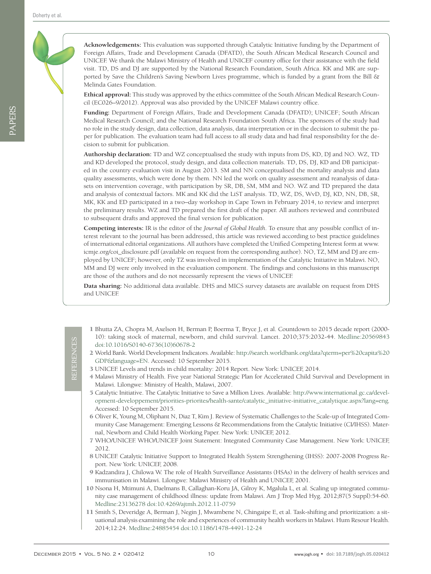**Ethical approval:** This study was approved by the ethics committee of the South African Medical Research Council (EC026–9/2012). Approval was also provided by the UNICEF Malawi country office.

**Funding:** Department of Foreign Affairs, Trade and Development Canada (DFATD); UNICEF; South African Medical Research Council; and the National Research Foundation South Africa. The sponsors of the study had no role in the study design, data collection, data analysis, data interpretation or in the decision to submit the paper for publication. The evaluation team had full access to all study data and had final responsibility for the decision to submit for publication.

**Authorship declaration:** TD and WZ conceptualised the study with inputs from DS, KD, DJ and NO. WZ, TD and KD developed the protocol, study design, and data collection materials. TD, DS, DJ, KD and DB participated in the country evaluation visit in August 2013. SM and NN conceptualised the mortality analysis and data quality assessments, which were done by them. NN led the work on quality assessment and reanalysis of datasets on intervention coverage, with participation by SR, DB, SM, MM and NO. WZ and TD prepared the data and analysis of contextual factors. MK and KK did the LiST analysis. TD, WZ, DS, WvD, DJ, KD, NN, DB, SR, MK, KK and ED participated in a two–day workshop in Cape Town in February 2014, to review and interpret the preliminary results. WZ and TD prepared the first draft of the paper. All authors reviewed and contributed to subsequent drafts and approved the final version for publication.

**Competing interests:** IR is the editor of the *Journal of Global Health*. To ensure that any possible conflict of interest relevant to the journal has been addressed, this article was reviewed according to best practice guidelines of international editorial organizations. All authors have completed the Unified Competing Interest form at www. icmje.org/coi\_disclosure.pdf (available on request from the corresponding author). NO, TZ, MM and DJ are employed by UNICEF; however, only TZ was involved in implementation of the Catalytic Initiative in Malawi. NO, MM and DJ were only involved in the evaluation component. The findings and conclusions in this manuscript are those of the authors and do not necessarily represent the views of UNICEF.

**Data sharing:** No additional data available. DHS and MICS survey datasets are available on request from DHS and UNICEF.

- 1 Bhutta ZA, Chopra M, Axelson H, Berman P, Boerma T, Bryce J, et al. Countdown to 2015 decade report (2000- 10): taking stock of maternal, newborn, and child survival. Lancet. 2010;375:2032-44. Medline:20569843 doi:10.1016/S0140-6736(10)60678-2
- 2 World Bank. World Development Indicators. Available: http://search.worldbank.org/data?qterm=per%20capita%20 GDP&language=EN. Accessed: 10 September 2015.
- 3 UNICEF. Levels and trends in child mortality: 2014 Report. New York: UNICEF, 2014.
- 4 Malawi Ministry of Health. Five year National Strategic Plan for Accelerated Child Survival and Development in Malawi. Lilongwe: Ministry of Health, Malawi, 2007.
- 5 Catalytic Initiative. The Catalytic Initiative to Save a Million Lives. Available: http://www.international.gc.ca/development-developpement/priorities-priorites/health-sante/catalytic\_initiative-initiative\_catalytique.aspx?lang=eng. Accessed: 10 September 2015.
- 6 Oliver K, Young M, Oliphant N, Diaz T, Kim J. Review of Systematic Challenges to the Scale-up of Integrated Community Case Management: Emerging Lessons & Recommendations from the Catalytic Initiative (CI/IHSS). Maternal, Newborn and Child Health Working Paper. New York: UNICEF, 2012.
- 7 WHO/UNICEF. WHO/UNICEF Joint Statement: Integrated Community Case Management. New York: UNICEF, 2012.
- 8 UNICEF. Catalytic Initiative Support to Integrated Health System Strengthening (IHSS): 2007-2008 Progress Report. New York: UNICEF, 2008.
- 9 Kadzandira J, Chilowa W. The role of Health Surveillance Assistants (HSAs) in the delivery of health services and immunisation in Malawi. Lilongwe: Malawi Ministry of Health and UNICEF, 2001.
- 10 Nsona H, Mtimuni A, Daelmans B, Callaghan-Koru JA, Gilroy K, Mgalula L, et al. Scaling up integrated community case management of childhood illness: update from Malawi. Am J Trop Med Hyg. 2012;87(5 Suppl):54-60. Medline:23136278 doi:10.4269/ajtmh.2012.11-0759
- 11 Smith S, Deveridge A, Berman J, Negin J, Mwambene N, Chingaipe E, et al. Task-shifting and prioritization: a situational analysis examining the role and experiences of community health workers in Malawi. Hum Resour Health. 2014;12:24. Medline:24885454 doi:10.1186/1478-4491-12-24